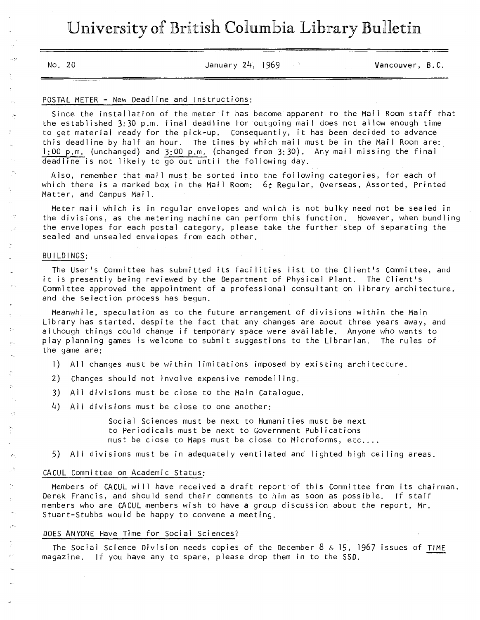# University of British Columbia Library Bulletin

No. 20 January 24, 1969 Vancouver, B.C.

# POSTAL METER - New Deadline and Instructions;

Since the installation of the meter it has become apparent to the Mail Room staff that the established 3:30 p.m. final deadline for outgoing mail does not allow enough time to get material ready for the pick-up. Consequently, it has been decided to advance this deadline by half an hour. The times by which mail must be in the Mail Room are; 1:00 p.m. (unchanged) and 3:00 p.m. (changed from 3:30). Any mail missing the final deadline is not likely to go out until the following day.

Also, remember that mail must be sorted into the following categories, for each of which there is a marked box in the Mail Room: 6¢ Regular, Overseas, Assorted, Printed Matter, and Campus Mail.

Meter mail which is in regular envelopes and which is not bulky need not be sealed in the divisions, as the metering machine can perform this function. However, when bundling the envelopes for each postal category, please take the further step of separating the sealed and unsealed envelopes from each other.

# BUILDINGS:

The User's Committee has submitted its facilities list to the Client's Committee, and it is presently being reviewed by the Department of Physical Plant. The Client's Committee approved the appointment of a professional consultant on library architecture, and the selection process has begun.

Meanwhile, speculation as to the future arrangement of divisions within the Main Library has started, despite the fact that any changes are about three years away, and although things could change if temporary space were available. Anyone who wants to play planning games is welcome to submit suggestions to the Librarian. The rules of the game are;

- 1) All changes must be within limitations imposed by existing architecture.
- 2) Changes should not involve expensive remodelling.
- 3) All divisions must be close to the Main Catalogue.
- 4) All divisions must be close to one another;

Social Sciences must be next to Humanities must be next to Periodicals must be next to Government Publications must be close to Maps must be close to Microforms, etc....

5) All divisions must be in adequately ventilated and lighted high ceiling areas.

#### CACUL Committee on Academic Status:

Members of CACUL will have received a draft report of this Committee from its chairman, Derek Francis, and should send their comments to him as soon as possible. If staff members who are CACUL members wish to have a group discussion about the report, Mr. Stuart-Stubbs would be happy to convene a meeting.

#### DOES ANYONE Have Time for Social Sciences?

The Social Science Division needs copies of the December  $8 \epsilon$  15, 1967 issues of TIME magazine. If you have any to spare, please drop them in to the SSD.